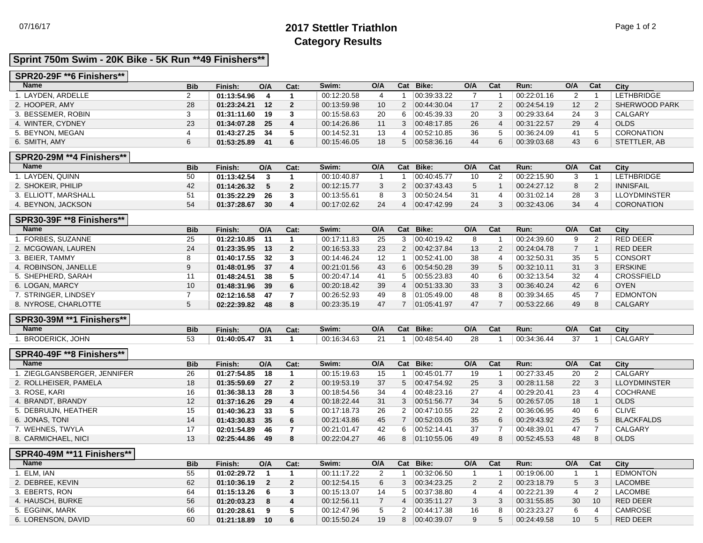# 07/16/17 **2017 Stettler Triathlon** Page 1 of 2 **Category Results**

### **Sprint 750m Swim - 20K Bike - 5K Run \*\*49 Finishers\*\***

#### **SPR20-29F \*\*6 Finishers\*\***

| <b>Name</b>        | <b>Bib</b> | Finish:     | O/A | Cat: | Swim:       | O/A |    | Cat Bike:   | O/A | Cat | Run:        | O/A             | Cat | City              |
|--------------------|------------|-------------|-----|------|-------------|-----|----|-------------|-----|-----|-------------|-----------------|-----|-------------------|
| . LAYDEN. ARDELLE  |            | 01:13:54.96 |     |      | 00:12:20.58 |     |    | 00:39:33.22 |     |     | 00:22:01.16 |                 |     | <b>LETHBRIDGE</b> |
| 2. HOOPER, AMY     | 28         | 01:23:24.21 | 12  |      | 00:13:59.98 | 10  | ົ  | 00:44:30.04 |     |     | 00:24:54.19 | 12 <sup>2</sup> | 2   | SHERWOOD PARK     |
| 3. BESSEMER, ROBIN |            | 01:31:11.60 | 19  |      | 00:15:58.63 | 20  | 6. | 00.45.39.33 | 20  |     | 00:29:33.64 | 24              |     | CALGARY           |
| 4. WINTER, CYDNEY  | 23         | 01:34:07.28 | 25  |      | 00:14:26.86 |     |    | 00.48.17.85 | 26  |     | 00:31:22.57 | 29              | 4   | <b>OLDS</b>       |
| 5. BEYNON, MEGAN   |            | 01:43:27.25 | 34  |      | 00:14:52.31 |     |    | 00:52:10.85 | 36  |     | 00:36:24.09 | 41              |     | <b>CORONATION</b> |
| 6. SMITH, AMY      |            | 01:53:25.89 | 41  |      | 00:15:46.05 | 18  |    | 00.58.36.16 | 44  | ิค  | 00:39:03.68 | 43              | 6   | STETTLER, AB      |

#### **SPR20-29M \*\*4 Finishers\*\***

| <b>Name</b>          | <b>Bib</b> | Finish:     | O/A             | Cat: | Swim:       | O/A | Cat | Bike:       | O/A | Cat | Run:        | O/A | Cat    | City              |
|----------------------|------------|-------------|-----------------|------|-------------|-----|-----|-------------|-----|-----|-------------|-----|--------|-------------------|
| . LAYDEN. QUINN      | 50         | 01:13:42.54 |                 |      | 00:10:40.87 |     |     | 00:40:45.77 | 10  |     | 00:22:15.90 |     |        | <b>LETHBRIDGE</b> |
| 2. SHOKEIR, PHILIP   |            | 01:14:26.32 |                 |      | 00:12:15.77 |     |     | 00.37.43.43 |     |     | 00:24:27.12 |     | $\sim$ | <b>INNISFAIL</b>  |
| 3. ELLIOTT, MARSHALL |            | 01:35:22.29 | 26              |      | 00:13:55.61 |     |     | 00:50:24.54 |     |     | 00:31:02.14 | 28  |        | LLOYDMINSTER      |
| 4. BEYNON, JACKSON   |            | 01:37:28.67 | 30 <sup>°</sup> |      | 00:17:02.62 | 24  |     | 00:47:42.99 | 24  |     | 00:32:43.06 | 34  |        | <b>CORONATION</b> |

#### **SPR30-39F \*\*8 Finishers\*\***

| <b>Name</b>          | <b>Bib</b> | Finish:     | O/A             | Cat: | Swim:       | O/A | Cat | Bike:       | O/A | Cat | Run:        | O/A | Cat | City              |
|----------------------|------------|-------------|-----------------|------|-------------|-----|-----|-------------|-----|-----|-------------|-----|-----|-------------------|
| . FORBES. SUZANNE    | 25         | 01:22:10.85 | 11              |      | 00:17:11.83 | 25  |     | 00:40:19.42 | 8   |     | 00:24:39.60 |     |     | RED DEER          |
| 2. MCGOWAN, LAUREN   | 24         | 01:23:35.95 | 13              |      | 00:16:53.33 | 23  |     | 00.42.37.84 | 13  |     | 00:24:04.78 |     |     | RED DEER          |
| 3. BEIER, TAMMY      |            | 01:40:17.55 | 32 <sup>°</sup> |      | 00:14:46.24 | 12  |     | 00:52:41.00 | 38  |     | 00:32:50.31 | 35  |     | <b>CONSORT</b>    |
| 4. ROBINSON, JANELLE |            | 01:48:01.95 | -37             | 4    | 00:21:01.56 | 43  | 6   | 00:54:50.28 | 39  |     | 00:32:10.11 | 31  | 3   | <b>ERSKINE</b>    |
| 5. SHEPHERD, SARAH   |            | 01:48:24.51 | 38              |      | 00:20:47.14 | 41  |     | 00:55:23.83 | 40  |     | 00:32:13.54 | 32  |     | <b>CROSSFIELD</b> |
| 6. LOGAN, MARCY      | 10         | 01:48:31.96 | 39              | -6   | 00:20:18.42 | 39  |     | 00:51:33.30 | 33  |     | 00:36:40.24 | 42  |     | <b>OYEN</b>       |
| 7. STRINGER, LINDSEY |            | 02:12:16.58 | 47              |      | 00:26:52.93 | 49  | 8   | 01:05:49.00 | 48  |     | 00:39:34.65 | 45  |     | <b>EDMONTON</b>   |
| 8. NYROSE, CHARLOTTE |            | 02:22:39.82 | 48              | -8   | 00:23:35.19 | 47  |     | 01:05:41.97 | 47  |     | 00:53:22.66 | 49  | 8   | <b>CALGARY</b>    |

### **SPR30-39M \*\*1 Finishers\*\***

| Name                   | <b>Bib</b> | Finish:     | O/A | Cat: | Swim:       | O/A    | Cat | Bike:       | O/A | $\sim$<br>પ્તા | Run:        | O/A           | Cat | City    |
|------------------------|------------|-------------|-----|------|-------------|--------|-----|-------------|-----|----------------|-------------|---------------|-----|---------|
| <b>BRODERICK, JOHN</b> | ີ          | 01:40:05.47 |     |      | 00:16:34.63 | $\sim$ |     | 00:48:54.40 | 28  |                | 00:34:36.44 | $\sim$<br>. . |     | CALGARY |

#### **SPR40-49F \*\*8 Finishers\*\***

| <b>Name</b>                  | <b>Bib</b>        | Finish:     | O/A | Cat:           | Swim:       | O/A | Cat | Bike:                 | O/A | Cat | Run:        | O/A | Cat | City                |
|------------------------------|-------------------|-------------|-----|----------------|-------------|-----|-----|-----------------------|-----|-----|-------------|-----|-----|---------------------|
| 1. ZIEGLGANSBERGER, JENNIFER | 26                | 01:27:54.85 | 18  |                | 00:15:19.63 | 15  |     | 00:45:01.77           | 19  |     | 00:27:33.45 | 20  |     | CALGARY             |
| 2. ROLLHEISER, PAMELA        | 18                | 01:35:59.69 | 27  | $\overline{2}$ | 00:19:53.19 | 37  |     | $ 00.47.54.92\rangle$ | 25  |     | 00:28:11.58 | 22  |     | <b>LLOYDMINSTER</b> |
| 3. ROSE, KARI                | 16                | 01:36:38.13 | -28 |                | 00:18:54.56 | 34  |     | 00.48.23.16           | 27  |     | 00:29:20.41 | 23  |     | COCHRANE            |
| 4. BRANDT, BRANDY            | $12 \overline{ }$ | 01:37:16.26 | 29  |                | 00:18:22.44 | 31  |     | 00.51.56.77           | 34  |     | 00:26:57.05 | 18  |     | <b>OLDS</b>         |
| 5. DEBRUIJN, HEATHER         | 15                | 01:40:36.23 | 33  |                | 00:17:18.73 | 26  |     | 00:47:10.55           | 22  |     | 00:36:06.95 | 40  |     | <b>CLIVE</b>        |
| 6. JONAS, TONI               | 14                | 01:43:30.83 | 35  | -6             | 00:21:43.86 | 45  |     | 00.52.03.05           | 35  | 6   | 00:29:43.92 | 25  |     | <b>BLACKFALDS</b>   |
| 7. WEHNES, TWYLA             | 17                | 02:01:54.89 | 46  |                | 00:21:01.47 | 42  |     | 00:52:14.41           | 37  |     | 00:48:39.01 | 47  |     | CALGARY             |
| 8. CARMICHAEL, NICI          | 13                | 02:25:44.86 | 49  | -8             | 00:22:04.27 | 46  |     | 01:10.55.06           | 49  |     | 00:52:45.53 | 48  |     | <b>OLDS</b>         |

## **SPR40-49M \*\*11 Finishers\*\***

| <b>Name</b>        | <b>Bib</b> | Finish:     | O/A | Cat: | Swim:       | O/A | Cat | Bike:       | O/A | Cat | Run:        | O/A             | Cat | City            |
|--------------------|------------|-------------|-----|------|-------------|-----|-----|-------------|-----|-----|-------------|-----------------|-----|-----------------|
| . ELM, IAN         | 55         | 01:02:29.72 |     |      | 00:11:17.22 |     |     | 00:32:06.50 |     |     | 00:19:06.00 |                 |     | <b>EDMONTON</b> |
| 2. DEBREE, KEVIN   | 62         | 01:10:36.19 |     |      | 00:12:54.15 | 6   |     | 00:34:23.25 |     |     | 00:23:18.79 |                 |     | LACOMBE         |
| 3. EBERTS, RON     | 64         | 01:15:13.26 |     |      | 00:15:13.07 | 14  |     | 00:37:38.80 |     |     | 00:22:21.39 |                 |     | LACOMBE         |
| 4. HAUSCH, BURKE   | 56         | 01:20:03.23 |     |      | 00:12:56.11 |     |     | 00:35:11.27 |     |     | 00:31:55.85 | 30              | 10  | RED DEER        |
| 5. EGGINK, MARK    | 66         | 01:20:28.61 |     |      | 00:12:47.96 |     |     | 00.44:17.38 | 16  |     | 00:23:23.27 | 6.              |     | CAMROSE         |
| 6. LORENSON, DAVID | 60         | 01:21:18.89 | 10  | 6    | 00:15:50.24 | 19  |     | 00:40:39.07 |     |     | 00:24:49.58 | 10 <sup>°</sup> |     | RED DEER        |